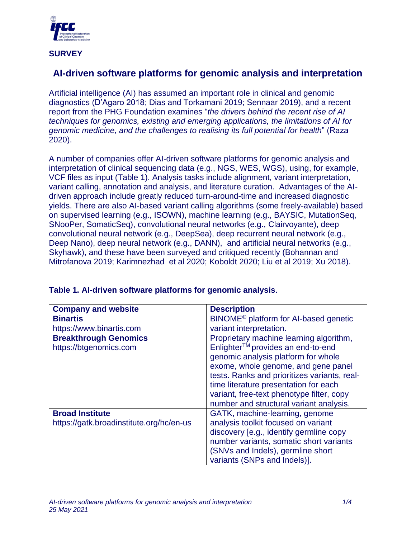

**SURVEY**

## **AI-driven software platforms for genomic analysis and interpretation**

Artificial intelligence (AI) has assumed an important role in clinical and genomic diagnostics (D'Agaro 2018; Dias and Torkamani 2019; Sennaar 2019), and a recent report from the PHG Foundation examines "*the drivers behind the recent rise of AI techniques for genomics, existing and emerging applications, the limitations of AI for genomic medicine, and the challenges to realising its full potential for health*" (Raza 2020).

A number of companies offer AI-driven software platforms for genomic analysis and interpretation of clinical sequencing data (e.g., NGS, WES, WGS), using, for example, VCF files as input (Table 1). Analysis tasks include alignment, variant interpretation, variant calling, annotation and analysis, and literature curation. Advantages of the AIdriven approach include greatly reduced turn-around-time and increased diagnostic yields. There are also AI-based variant calling algorithms (some freely-available) based on supervised learning (e.g., ISOWN), machine learning (e.g., BAYSIC, MutationSeq, SNooPer, SomaticSeq), convolutional neural networks (e.g., Clairvoyante), deep convolutional neural network (e.g., DeepSea), deep recurrent neural network (e.g., Deep Nano), deep neural network (e.g., DANN), and artificial neural networks (e.g., Skyhawk), and these have been surveyed and critiqued recently (Bohannan and Mitrofanova 2019; Karimnezhad et al 2020; Koboldt 2020; Liu et al 2019; Xu 2018).

| <b>Company and website</b>               | <b>Description</b>                                                                   |
|------------------------------------------|--------------------------------------------------------------------------------------|
| <b>Binartis</b>                          | BINOME <sup>®</sup> platform for AI-based genetic                                    |
| https://www.binartis.com                 | variant interpretation.                                                              |
| <b>Breakthrough Genomics</b>             | Proprietary machine learning algorithm,                                              |
| https://btgenomics.com                   | Enlighter <sup>™</sup> provides an end-to-end<br>genomic analysis platform for whole |
|                                          | exome, whole genome, and gene panel                                                  |
|                                          | tests. Ranks and prioritizes variants, real-                                         |
|                                          | time literature presentation for each                                                |
|                                          | variant, free-text phenotype filter, copy                                            |
|                                          | number and structural variant analysis.                                              |
| <b>Broad Institute</b>                   | GATK, machine-learning, genome                                                       |
| https://gatk.broadinstitute.org/hc/en-us | analysis toolkit focused on variant                                                  |
|                                          | discovery [e.g., identify germline copy                                              |
|                                          | number variants, somatic short variants                                              |
|                                          | (SNVs and Indels), germline short                                                    |
|                                          | variants (SNPs and Indels)].                                                         |

## **Table 1. AI-driven software platforms for genomic analysis**.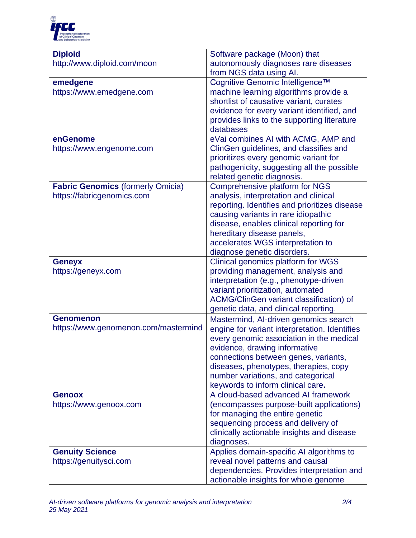

| <b>Diploid</b>                           | Software package (Moon) that                  |
|------------------------------------------|-----------------------------------------------|
| http://www.diploid.com/moon              | autonomously diagnoses rare diseases          |
|                                          | from NGS data using AI.                       |
| emedgene                                 | Cognitive Genomic Intelligence™               |
| https://www.emedgene.com                 | machine learning algorithms provide a         |
|                                          | shortlist of causative variant, curates       |
|                                          | evidence for every variant identified, and    |
|                                          | provides links to the supporting literature   |
|                                          | databases                                     |
| enGenome                                 | eVai combines AI with ACMG, AMP and           |
| https://www.engenome.com                 | ClinGen guidelines, and classifies and        |
|                                          | prioritizes every genomic variant for         |
|                                          | pathogenicity, suggesting all the possible    |
|                                          | related genetic diagnosis.                    |
| <b>Fabric Genomics (formerly Omicia)</b> | Comprehensive platform for NGS                |
| https://fabricgenomics.com               | analysis, interpretation and clinical         |
|                                          | reporting. Identifies and prioritizes disease |
|                                          | causing variants in rare idiopathic           |
|                                          | disease, enables clinical reporting for       |
|                                          | hereditary disease panels,                    |
|                                          | accelerates WGS interpretation to             |
|                                          | diagnose genetic disorders.                   |
| <b>Geneyx</b>                            | Clinical genomics platform for WGS            |
| https://geneyx.com                       | providing management, analysis and            |
|                                          | interpretation (e.g., phenotype-driven        |
|                                          | variant prioritization, automated             |
|                                          | ACMG/ClinGen variant classification) of       |
|                                          | genetic data, and clinical reporting.         |
| <b>Genomenon</b>                         | Mastermind, Al-driven genomics search         |
| https://www.genomenon.com/mastermind     | engine for variant interpretation. Identifies |
|                                          | every genomic association in the medical      |
|                                          | evidence, drawing informative                 |
|                                          | connections between genes, variants,          |
|                                          | diseases, phenotypes, therapies, copy         |
|                                          | number variations, and categorical            |
|                                          | keywords to inform clinical care.             |
| <b>Genoox</b>                            | A cloud-based advanced AI framework           |
| https://www.genoox.com                   | (encompasses purpose-built applications)      |
|                                          | for managing the entire genetic               |
|                                          | sequencing process and delivery of            |
|                                          | clinically actionable insights and disease    |
|                                          | diagnoses.                                    |
| <b>Genuity Science</b>                   | Applies domain-specific AI algorithms to      |
| https://genuitysci.com                   | reveal novel patterns and causal              |
|                                          | dependencies. Provides interpretation and     |
|                                          | actionable insights for whole genome          |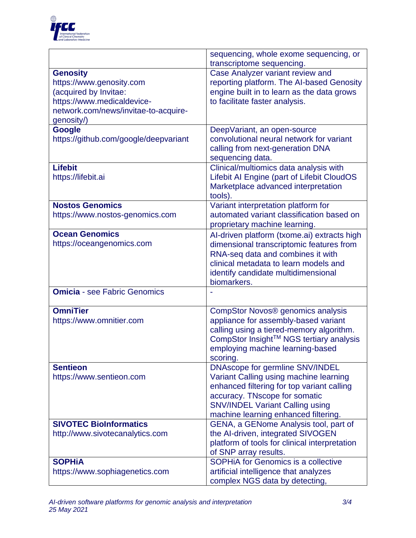

|                                       | sequencing, whole exome sequencing, or<br>transcriptome sequencing. |
|---------------------------------------|---------------------------------------------------------------------|
| <b>Genosity</b>                       | Case Analyzer variant review and                                    |
| https://www.genosity.com              | reporting platform. The AI-based Genosity                           |
| (acquired by Invitae:                 | engine built in to learn as the data grows                          |
| https://www.medicaldevice-            | to facilitate faster analysis.                                      |
| network.com/news/invitae-to-acquire-  |                                                                     |
| genosity/)                            |                                                                     |
| <b>Google</b>                         | DeepVariant, an open-source                                         |
| https://github.com/google/deepvariant | convolutional neural network for variant                            |
|                                       |                                                                     |
|                                       | calling from next-generation DNA                                    |
| <b>Lifebit</b>                        | sequencing data.                                                    |
|                                       | Clinical/multiomics data analysis with                              |
| https://lifebit.ai                    | Lifebit AI Engine (part of Lifebit CloudOS                          |
|                                       | Marketplace advanced interpretation                                 |
|                                       | tools).                                                             |
| <b>Nostos Genomics</b>                | Variant interpretation platform for                                 |
| https://www.nostos-genomics.com       | automated variant classification based on                           |
|                                       | proprietary machine learning.                                       |
| <b>Ocean Genomics</b>                 | Al-driven platform (txome.ai) extracts high                         |
| https://oceangenomics.com             | dimensional transcriptomic features from                            |
|                                       | RNA-seq data and combines it with                                   |
|                                       | clinical metadata to learn models and                               |
|                                       | identify candidate multidimensional                                 |
|                                       | biomarkers.                                                         |
| <b>Omicia</b> - see Fabric Genomics   |                                                                     |
| <b>OmniTier</b>                       | CompStor Novos® genomics analysis                                   |
| https://www.omnitier.com              | appliance for assembly-based variant                                |
|                                       | calling using a tiered-memory algorithm.                            |
|                                       | CompStor Insight™ NGS tertiary analysis                             |
|                                       | employing machine learning-based                                    |
|                                       | scoring.                                                            |
| <b>Sentieon</b>                       | <b>DNAscope for germline SNV/INDEL</b>                              |
| https://www.sentieon.com              | Variant Calling using machine learning                              |
|                                       | enhanced filtering for top variant calling                          |
|                                       | accuracy. TNscope for somatic                                       |
|                                       | <b>SNV/INDEL Variant Calling using</b>                              |
|                                       | machine learning enhanced filtering.                                |
| <b>SIVOTEC BioInformatics</b>         | GENA, a GENome Analysis tool, part of                               |
| http://www.sivotecanalytics.com       | the Al-driven, integrated SIVOGEN                                   |
|                                       | platform of tools for clinical interpretation                       |
|                                       | of SNP array results.                                               |
| <b>SOPHIA</b>                         | <b>SOPHIA for Genomics is a collective</b>                          |
| https://www.sophiagenetics.com        | artificial intelligence that analyzes                               |
|                                       | complex NGS data by detecting,                                      |